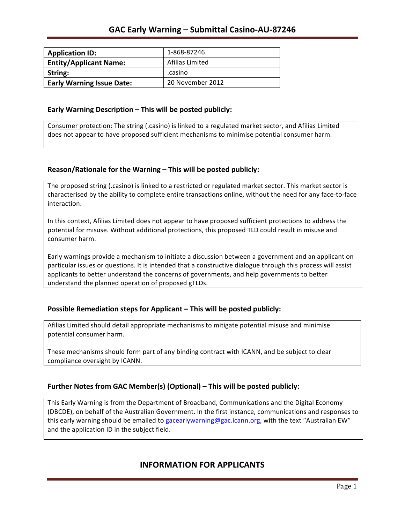| <b>Application ID:</b>           | 1-868-87246      |
|----------------------------------|------------------|
| <b>Entity/Applicant Name:</b>    | Afilias Limited  |
| String:                          | .casino          |
| <b>Early Warning Issue Date:</b> | 20 November 2012 |

### **Early Warning Description – This will be posted publicly:**

Consumer protection: The string (.casino) is linked to a regulated market sector, and Afilias Limited does not appear to have proposed sufficient mechanisms to minimise potential consumer harm.

## **Reason/Rationale for the Warning – This will be posted publicly:**

The proposed string (.casino) is linked to a restricted or regulated market sector. This market sector is characterised by the ability to complete entire transactions online, without the need for any face-to-face interaction.

In this context, Afilias Limited does not appear to have proposed sufficient protections to address the potential for misuse. Without additional protections, this proposed TLD could result in misuse and consumer harm.

Early warnings provide a mechanism to initiate a discussion between a government and an applicant on particular issues or questions. It is intended that a constructive dialogue through this process will assist applicants to better understand the concerns of governments, and help governments to better understand the planned operation of proposed gTLDs.

## **Possible Remediation steps for Applicant – This will be posted publicly:**

Afilias Limited should detail appropriate mechanisms to mitigate potential misuse and minimise potential consumer harm.

These mechanisms should form part of any binding contract with ICANN, and be subject to clear compliance oversight by ICANN.

## **Further Notes from GAC Member(s) (Optional)** – This will be posted publicly:

This Early Warning is from the Department of Broadband, Communications and the Digital Economy (DBCDE), on behalf of the Australian Government. In the first instance, communications and responses to this early warning should be emailed to gacearlywarning@gac.icann.org, with the text "Australian EW" and the application ID in the subject field.

# **INFORMATION FOR APPLICANTS**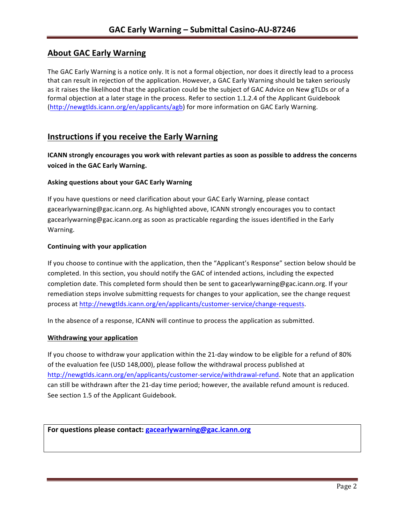# **About GAC Early Warning**

The GAC Early Warning is a notice only. It is not a formal objection, nor does it directly lead to a process that can result in rejection of the application. However, a GAC Early Warning should be taken seriously as it raises the likelihood that the application could be the subject of GAC Advice on New gTLDs or of a formal objection at a later stage in the process. Refer to section 1.1.2.4 of the Applicant Guidebook (http://newgtlds.icann.org/en/applicants/agb) for more information on GAC Early Warning.

## **Instructions if you receive the Early Warning**

**ICANN** strongly encourages you work with relevant parties as soon as possible to address the concerns **voiced in the GAC Early Warning.** 

#### **Asking questions about your GAC Early Warning**

If you have questions or need clarification about your GAC Early Warning, please contact gacearlywarning@gac.icann.org. As highlighted above, ICANN strongly encourages you to contact gacearlywarning@gac.icann.org as soon as practicable regarding the issues identified in the Early Warning. 

#### **Continuing with your application**

If you choose to continue with the application, then the "Applicant's Response" section below should be completed. In this section, you should notify the GAC of intended actions, including the expected completion date. This completed form should then be sent to gacearlywarning@gac.icann.org. If your remediation steps involve submitting requests for changes to your application, see the change request process at http://newgtlds.icann.org/en/applicants/customer-service/change-requests.

In the absence of a response, ICANN will continue to process the application as submitted.

#### **Withdrawing your application**

If you choose to withdraw your application within the 21-day window to be eligible for a refund of 80% of the evaluation fee (USD 148,000), please follow the withdrawal process published at http://newgtlds.icann.org/en/applicants/customer-service/withdrawal-refund. Note that an application can still be withdrawn after the 21-day time period; however, the available refund amount is reduced. See section 1.5 of the Applicant Guidebook.

For questions please contact: gacearlywarning@gac.icann.org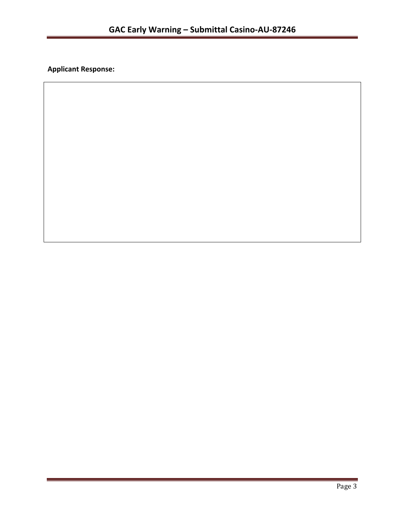**Applicant Response:**